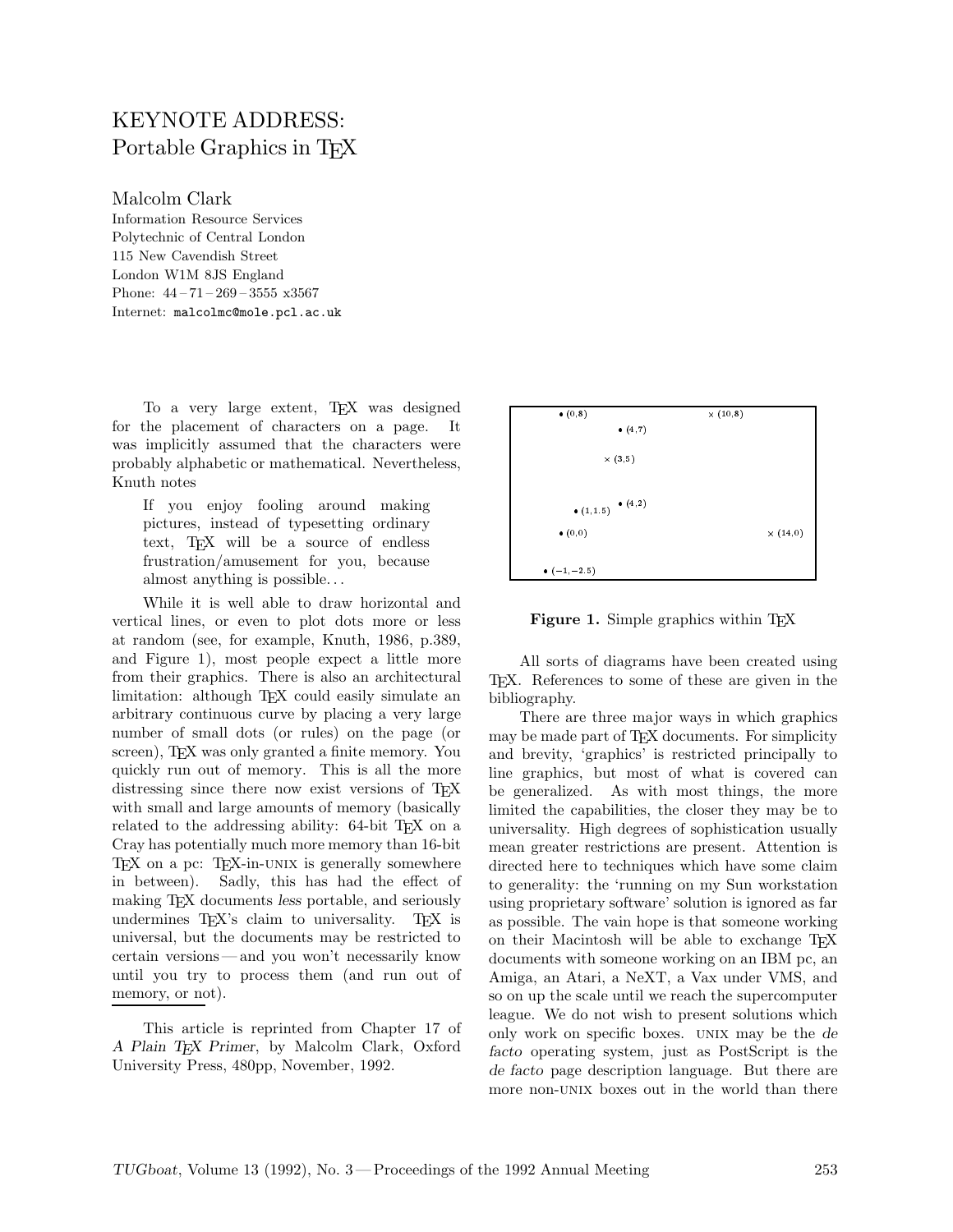## KEYNOTE ADDRESS: Portable Graphics in T<sub>F</sub>X

Malcolm Clark

Information Resource Services Polytechnic of Central London 115 New Cavendish Street London W1M 8JS England Phone: 44 – 71 – 269 – 3555 x3567 Internet: malcolmc@mole.pcl.ac.uk

To a very large extent, TEX was designed for the placement of characters on a page. It was implicitly assumed that the characters were probably alphabetic or mathematical. Nevertheless, Knuth notes

If you enjoy fooling around making pictures, instead of typesetting ordinary text, TEX will be a source of endless frustration/amusement for you, because almost anything is possible...

While it is well able to draw horizontal and vertical lines, or even to plot dots more or less at random (see, for example, Knuth, 1986, p.389, and Figure 1), most people expect a little more from their graphics. There is also an architectural limitation: although TFX could easily simulate an arbitrary continuous curve by placing a very large number of small dots (or rules) on the page (or screen), T<sub>F</sub>X was only granted a finite memory. You quickly run out of memory. This is all the more distressing since there now exist versions of T<sub>E</sub>X with small and large amounts of memory (basically related to the addressing ability: 64-bit TFX on a Cray has potentially much more memory than 16-bit TEX on a pc: TEX-in-UNIX is generally somewhere in between). Sadly, this has had the effect of making TEX documents *less* portable, and seriously undermines T<sub>EX</sub>'s claim to universality. T<sub>EX</sub> is universal, but the documents may be restricted to certain versions— and you won't necessarily know until you try to process them (and run out of memory, or not).

This article is reprinted from Chapter 17 of *A Plain TEX Primer*, by Malcolm Clark, Oxford University Press, 480pp, November, 1992.



**Figure 1.** Simple graphics within T<sub>EX</sub>

All sorts of diagrams have been created using TEX. References to some of these are given in the bibliography.

There are three major ways in which graphics may be made part of TEX documents. For simplicity and brevity, 'graphics' is restricted principally to line graphics, but most of what is covered can be generalized. As with most things, the more limited the capabilities, the closer they may be to universality. High degrees of sophistication usually mean greater restrictions are present. Attention is directed here to techniques which have some claim to generality: the 'running on my Sun workstation using proprietary software' solution is ignored as far as possible. The vain hope is that someone working on their Macintosh will be able to exchange TFX documents with someone working on an IBM pc, an Amiga, an Atari, a NeXT, a Vax under VMS, and so on up the scale until we reach the supercomputer league. We do not wish to present solutions which only workon specific boxes. unix may be the *de facto* operating system, just as PostScript is the *de facto* page description language. But there are more non-UNIX boxes out in the world than there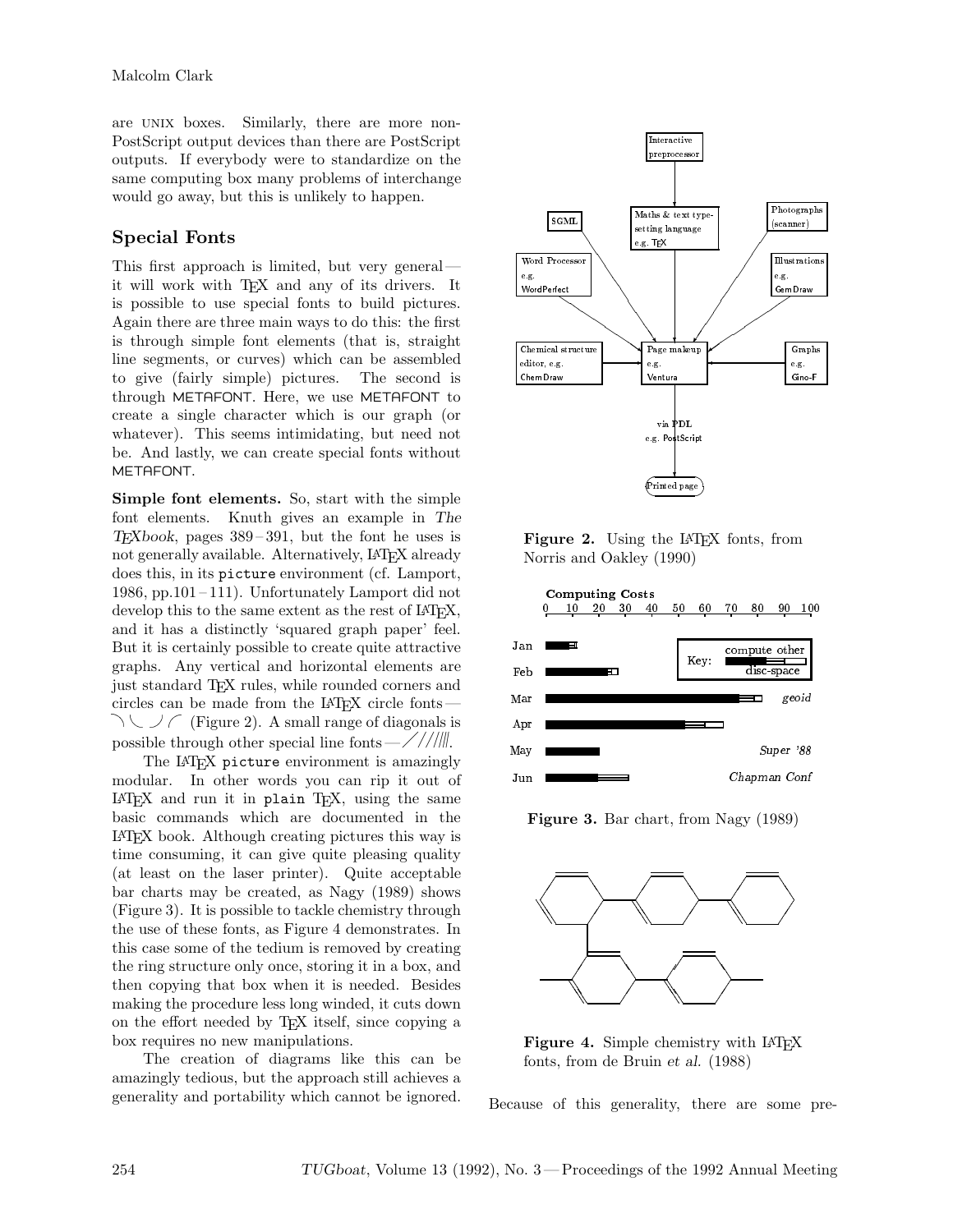are unix boxes. Similarly, there are more non-PostScript output devices than there are PostScript outputs. If everybody were to standardize on the same computing box many problems of interchange would go away, but this is unlikely to happen.

## **Special Fonts**

This first approach is limited, but very general it will work with TFX and any of its drivers. It is possible to use special fonts to build pictures. Again there are three main ways to do this: the first is through simple font elements (that is, straight line segments, or curves) which can be assembled to give (fairly simple) pictures. The second is through METAFONT. Here, we use METAFONT to create a single character which is our graph (or whatever). This seems intimidating, but need not be. And lastly, we can create special fonts without METAFONT.

**Simple font elements.** So, start with the simple font elements. Knuth gives an example in *The TEXbook*, pages 389 – 391, but the font he uses is not generally available. Alternatively, LATEX already does this, in its picture environment (cf. Lamport, 1986, pp.101 – 111). Unfortunately Lamport did not develop this to the same extent as the rest of LAT<sub>EX</sub>, and it has a distinctly 'squared graph paper' feel. But it is certainly possible to create quite attractive graphs. Any vertical and horizontal elements are just standard TEX rules, while rounded corners and circles can be made from the L <sup>A</sup>TEX circle fonts —  $\setminus$   $\setminus$  (Figure 2). A small range of diagonals is possible through other special line fonts —  $\frac{\sqrt{}}{}\frac{1}{\sqrt{2}}$ .

The LAT<sub>EX</sub> picture environment is amazingly modular. In other words you can rip it out of  $IATFX$  and run it in plain T<sub>E</sub>X, using the same basic commands which are documented in the LATEX book. Although creating pictures this way is time consuming, it can give quite pleasing quality (at least on the laser printer). Quite acceptable bar charts may be created, as Nagy (1989) shows (Figure 3). It is possible to tackle chemistry through the use of these fonts, as Figure 4 demonstrates. In this case some of the tedium is removed by creating the ring structure only once, storing it in a box, and then copying that box when it is needed. Besides making the procedure less long winded, it cuts down on the effort needed by TEX itself, since copying a box requires no new manipulations.

The creation of diagrams like this can be amazingly tedious, but the approach still achieves a generality and portability which cannot be ignored.



Figure 2. Using the L<sup>AT</sup>FX fonts, from Norris and Oakley (1990)



**Figure 3.** Bar chart, from Nagy (1989)



Figure 4. Simple chemistry with LAT<sub>EX</sub> fonts, from de Bruin *et al.* (1988)

Because of this generality, there are some pre-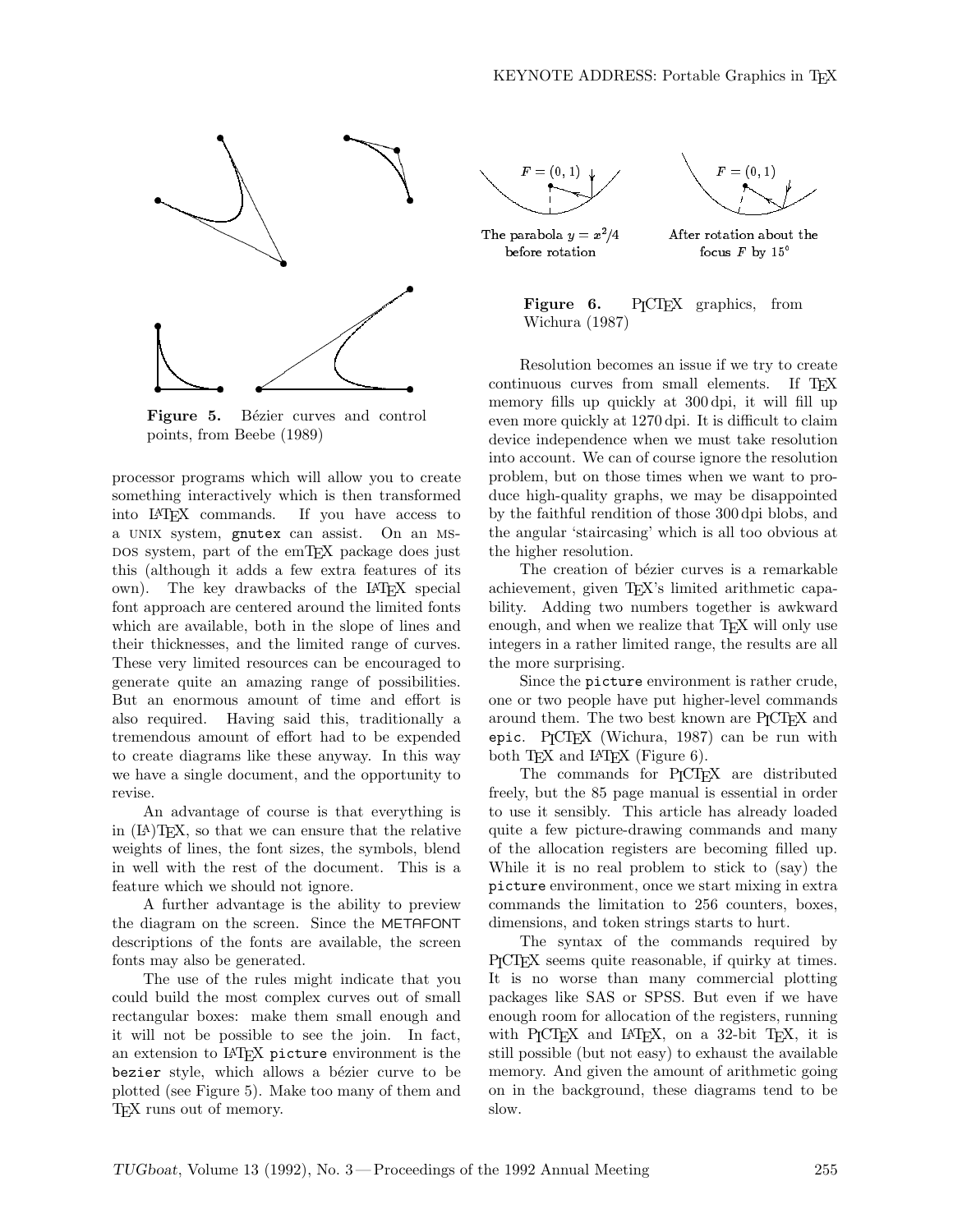

Figure 5. Bézier curves and control points, from Beebe (1989)

processor programs which will allow you to create something interactively which is then transformed into LATEX commands. If you have access to a unix system, gnutex can assist. On an msdos system, part of the emTEX package does just this (although it adds a few extra features of its own). The key drawbacks of the LAT<sub>EX</sub> special font approach are centered around the limited fonts which are available, both in the slope of lines and their thicknesses, and the limited range of curves. These very limited resources can be encouraged to generate quite an amazing range of possibilities. But an enormous amount of time and effort is also required. Having said this, traditionally a tremendous amount of effort had to be expended to create diagrams like these anyway. In this way we have a single document, and the opportunity to revise.

An advantage of course is that everything is in (LA)TEX, so that we can ensure that the relative weights of lines, the font sizes, the symbols, blend in well with the rest of the document. This is a feature which we should not ignore.

A further advantage is the ability to preview the diagram on the screen. Since the METAFONT descriptions of the fonts are available, the screen fonts may also be generated.

The use of the rules might indicate that you could build the most complex curves out of small rectangular boxes: make them small enough and it will not be possible to see the join. In fact, an extension to LAT<sub>EX</sub> picture environment is the bezier style, which allows a bézier curve to be plotted (see Figure 5). Make too many of them and TEX runs out of memory.





The parabola  $y = x^2/4$ before rotation

After rotation about the focus  $F$  by  $15^\circ$ 

**Figure 6.** P<sub>I</sub>CT<sub>E</sub>X graphics, from Wichura (1987)

Resolution becomes an issue if we try to create continuous curves from small elements. If TEX memory fills up quickly at 300 dpi, it will fill up even more quickly at 1270 dpi. It is difficult to claim device independence when we must take resolution into account. We can of course ignore the resolution problem, but on those times when we want to produce high-quality graphs, we may be disappointed by the faithful rendition of those 300 dpi blobs, and the angular 'staircasing' which is all too obvious at the higher resolution.

The creation of bézier curves is a remarkable achievement, given TEX's limited arithmetic capability. Adding two numbers together is awkward enough, and when we realize that TFX will only use integers in a rather limited range, the results are all the more surprising.

Since the picture environment is rather crude, one or two people have put higher-level commands around them. The two best known are P<sub>ICTEX</sub> and epic. P<sub>I</sub>CT<sub>F</sub>X (Wichura, 1987) can be run with both  $Tr X$  and  $IATFX$  (Figure 6).

The commands for P<sub>I</sub>CI<sub>E</sub>X are distributed freely, but the 85 page manual is essential in order to use it sensibly. This article has already loaded quite a few picture-drawing commands and many of the allocation registers are becoming filled up. While it is no real problem to stick to  $(say)$  the picture environment, once we start mixing in extra commands the limitation to 256 counters, boxes, dimensions, and token strings starts to hurt.

The syntax of the commands required by PICTEX seems quite reasonable, if quirky at times. It is no worse than many commercial plotting packages like SAS or SPSS. But even if we have enough room for allocation of the registers, running with P<sub>I</sub>CI<sub>E</sub>X and L<sup>A</sup>IE<sub>X</sub>, on a 32-bit T<sub>E</sub>X, it is still possible (but not easy) to exhaust the available memory. And given the amount of arithmetic going on in the background, these diagrams tend to be slow.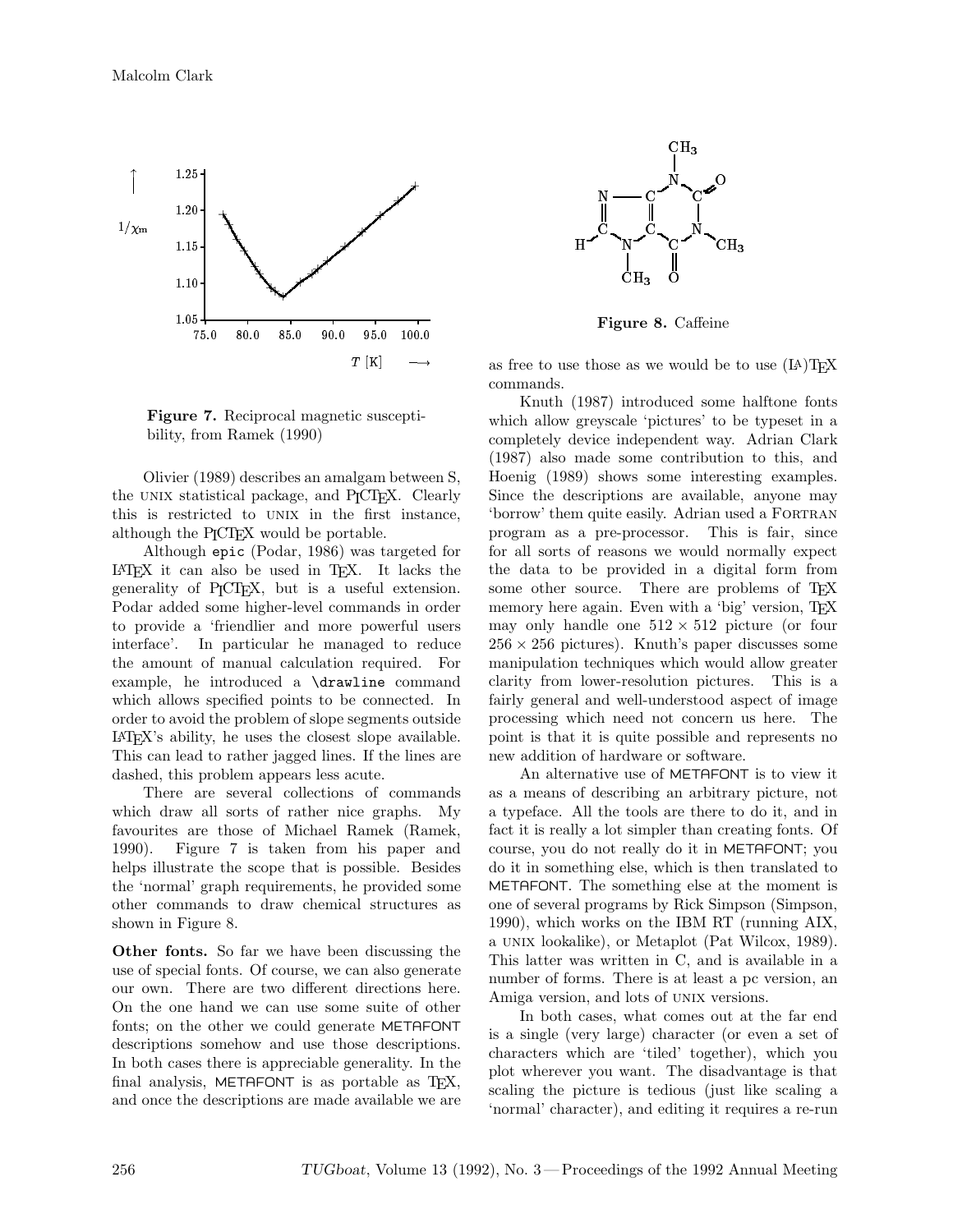

**Figure 7.** Reciprocal magnetic susceptibility, from Ramek (1990)

Olivier (1989) describes an amalgam between S, the UNIX statistical package, and P<sub>I</sub>CT<sub>E</sub>X. Clearly this is restricted to UNIX in the first instance, although the P<sub>I</sub>CI<sub>F</sub>X would be portable.

Although epic (Podar, 1986) was targeted for LATEX it can also be used in TEX. It lacks the generality of P<sub>I</sub>CI<sub>F</sub>X, but is a useful extension. Podar added some higher-level commands in order to provide a 'friendlier and more powerful users interface'. In particular he managed to reduce the amount of manual calculation required. For example, he introduced a \drawline command which allows specified points to be connected. In order to avoid the problem of slope segments outside LATEX's ability, he uses the closest slope available. This can lead to rather jagged lines. If the lines are dashed, this problem appears less acute.

There are several collections of commands which draw all sorts of rather nice graphs. My favourites are those of Michael Ramek(Ramek, 1990). Figure 7 is taken from his paper and helps illustrate the scope that is possible. Besides the 'normal' graph requirements, he provided some other commands to draw chemical structures as shown in Figure 8.

**Other fonts.** So far we have been discussing the use of special fonts. Of course, we can also generate our own. There are two different directions here. On the one hand we can use some suite of other fonts; on the other we could generate METAFONT descriptions somehow and use those descriptions. In both cases there is appreciable generality. In the final analysis, METAFONT is as portable as TFX, and once the descriptions are made available we are



**Figure 8.** Caffeine

as free to use those as we would be to use  $(IA)$ TFX commands.

Knuth (1987) introduced some halftone fonts which allow greyscale 'pictures' to be typeset in a completely device independent way. Adrian Clark (1987) also made some contribution to this, and Hoenig (1989) shows some interesting examples. Since the descriptions are available, anyone may 'borrow' them quite easily. Adrian used a FORTRAN program as a pre-processor. This is fair, since for all sorts of reasons we would normally expect the data to be provided in a digital form from some other source. There are problems of TEX memory here again. Even with a 'big' version, T<sub>EX</sub> may only handle one  $512 \times 512$  picture (or four 256 *×* 256 pictures). Knuth's paper discusses some manipulation techniques which would allow greater clarity from lower-resolution pictures. This is a fairly general and well-understood aspect of image processing which need not concern us here. The point is that it is quite possible and represents no new addition of hardware or software.

An alternative use of METAFONT is to view it as a means of describing an arbitrary picture, not a typeface. All the tools are there to do it, and in fact it is really a lot simpler than creating fonts. Of course, you do not really do it in METAFONT; you do it in something else, which is then translated to METAFONT. The something else at the moment is one of several programs by Rick Simpson (Simpson, 1990), which works on the IBM RT (running AIX, a unix lookalike), or Metaplot (Pat Wilcox, 1989). This latter was written in C, and is available in a number of forms. There is at least a pc version, an Amiga version, and lots of UNIX versions.

In both cases, what comes out at the far end is a single (very large) character (or even a set of characters which are 'tiled' together), which you plot wherever you want. The disadvantage is that scaling the picture is tedious (just like scaling a 'normal' character), and editing it requires a re-run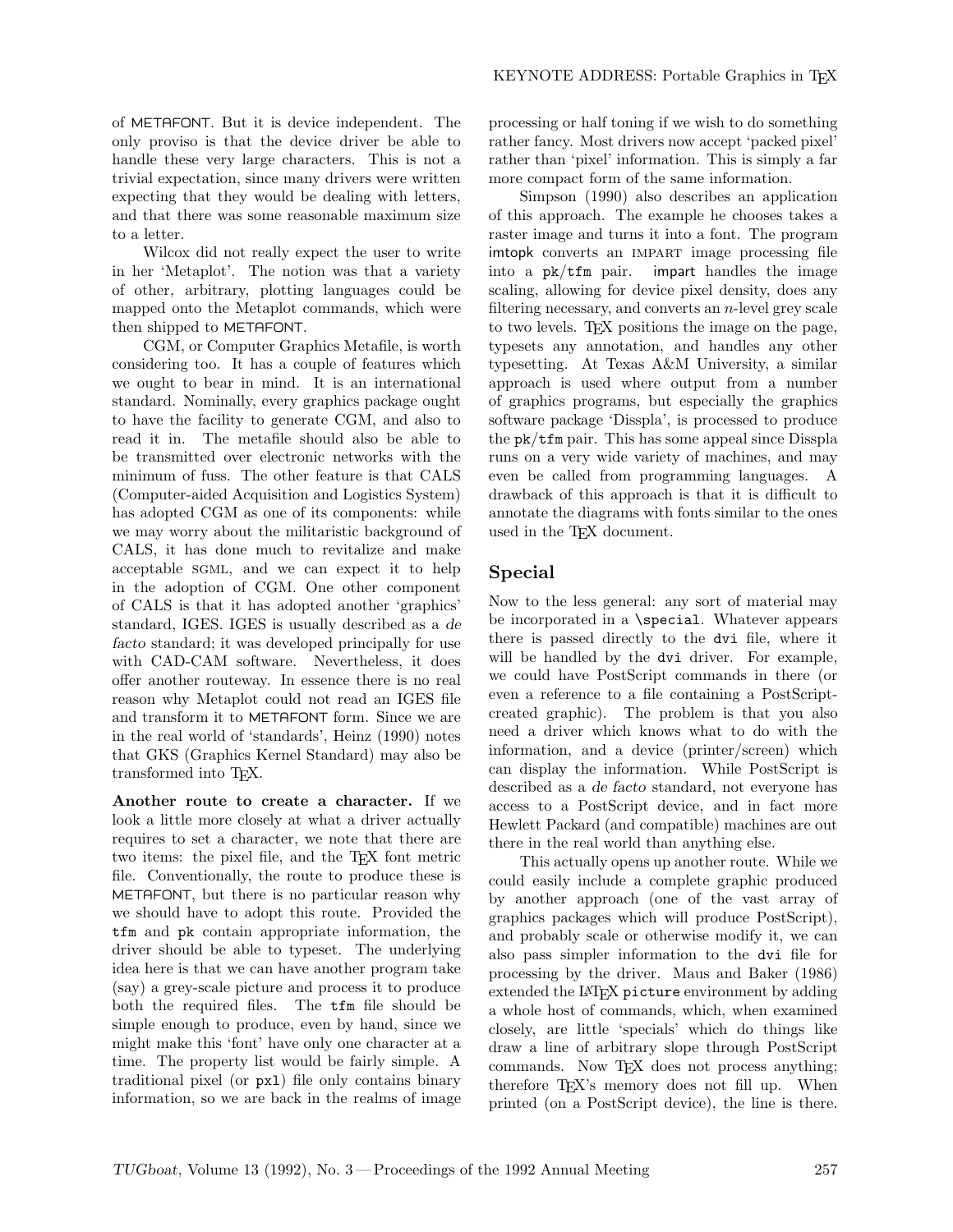of METAFONT. But it is device independent. The only proviso is that the device driver be able to handle these very large characters. This is not a trivial expectation, since many drivers were written expecting that they would be dealing with letters, and that there was some reasonable maximum size to a letter.

Wilcox did not really expect the user to write in her 'Metaplot'. The notion was that a variety of other, arbitrary, plotting languages could be mapped onto the Metaplot commands, which were then shipped to METAFONT.

CGM, or Computer Graphics Metafile, is worth considering too. It has a couple of features which we ought to bear in mind. It is an international standard. Nominally, every graphics package ought to have the facility to generate CGM, and also to read it in. The metafile should also be able to be transmitted over electronic networks with the minimum of fuss. The other feature is that CALS (Computer-aided Acquisition and Logistics System) has adopted CGM as one of its components: while we may worry about the militaristic background of CALS, it has done much to revitalize and make acceptable sgml, and we can expect it to help in the adoption of CGM. One other component of CALS is that it has adopted another 'graphics' standard, IGES. IGES is usually described as a *de facto* standard; it was developed principally for use with CAD-CAM software. Nevertheless, it does offer another routeway. In essence there is no real reason why Metaplot could not read an IGES file and transform it to METAFONT form. Since we are in the real world of 'standards', Heinz (1990) notes that GKS (Graphics Kernel Standard) may also be transformed into TEX.

**Another route to create a character.** If we looka little more closely at what a driver actually requires to set a character, we note that there are two items: the pixel file, and the TEX font metric file. Conventionally, the route to produce these is METAFONT, but there is no particular reason why we should have to adopt this route. Provided the tfm and pk contain appropriate information, the driver should be able to typeset. The underlying idea here is that we can have another program take (say) a grey-scale picture and process it to produce both the required files. The tfm file should be simple enough to produce, even by hand, since we might make this 'font' have only one character at a time. The property list would be fairly simple. A traditional pixel (or pxl) file only contains binary information, so we are back in the realms of image

processing or half toning if we wish to do something rather fancy. Most drivers now accept 'packed pixel' rather than 'pixel' information. This is simply a far more compact form of the same information.

Simpson (1990) also describes an application of this approach. The example he chooses takes a raster image and turns it into a font. The program imtopk converts an IMPART image processing file<br>into a  $pk/tfm$  pair. impart handles the image into a pk/tfm pair. impart handles the image scaling, allowing for device pixel density, does any filtering necessary, and converts an  $n$ -level grey scale to two levels. TEX positions the image on the page, typesets any annotation, and handles any other typesetting. At Texas A&M University, a similar approach is used where output from a number of graphics programs, but especially the graphics software package 'Disspla', is processed to produce the pk/tfm pair. This has some appeal since Disspla runs on a very wide variety of machines, and may even be called from programming languages. A drawback of this approach is that it is difficult to annotate the diagrams with fonts similar to the ones used in the T<sub>E</sub>X document.

### **Special**

Now to the less general: any sort of material may be incorporated in a \special. Whatever appears there is passed directly to the dvi file, where it will be handled by the dvi driver. For example, we could have PostScript commands in there (or even a reference to a file containing a PostScriptcreated graphic). The problem is that you also need a driver which knows what to do with the information, and a device (printer/screen) which can display the information. While PostScript is described as a *de facto* standard, not everyone has access to a PostScript device, and in fact more Hewlett Packard (and compatible) machines are out there in the real world than anything else.

This actually opens up another route. While we could easily include a complete graphic produced by another approach (one of the vast array of graphics packages which will produce PostScript), and probably scale or otherwise modify it, we can also pass simpler information to the dvi file for processing by the driver. Maus and Baker (1986) extended the LAT<sub>E</sub>X picture environment by adding a whole host of commands, which, when examined closely, are little 'specials' which do things like draw a line of arbitrary slope through PostScript commands. Now TEX does not process anything; therefore TEX's memory does not fill up. When printed (on a PostScript device), the line is there.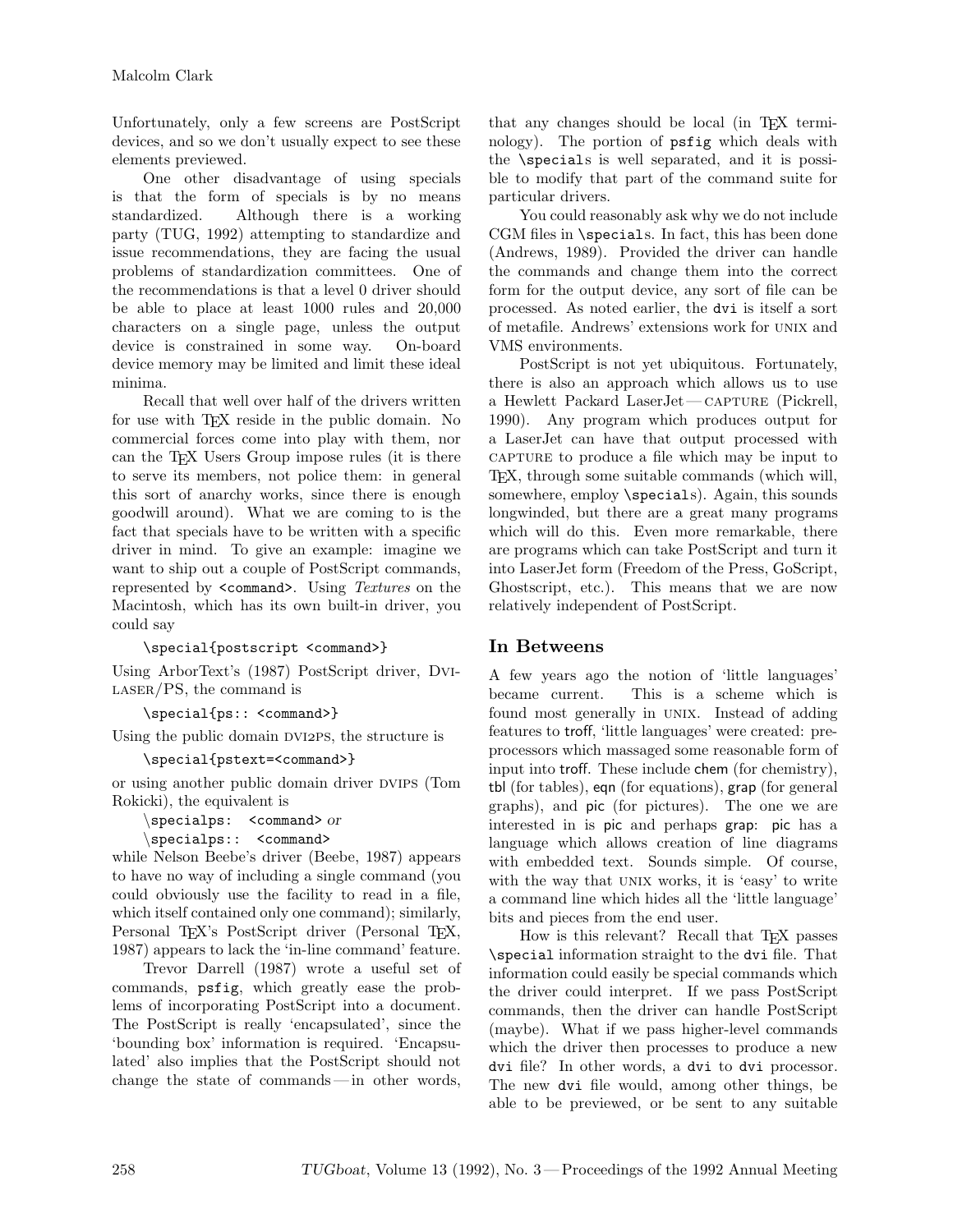Unfortunately, only a few screens are PostScript devices, and so we don't usually expect to see these elements previewed.

One other disadvantage of using specials is that the form of specials is by no means standardized. Although there is a working party (TUG, 1992) attempting to standardize and issue recommendations, they are facing the usual problems of standardization committees. One of the recommendations is that a level 0 driver should be able to place at least 1000 rules and 20,000 characters on a single page, unless the output device is constrained in some way. On-board device memory may be limited and limit these ideal minima.

Recall that well over half of the drivers written for use with T<sub>E</sub>X reside in the public domain. No commercial forces come into play with them, nor can the T<sub>E</sub>X Users Group impose rules (it is there to serve its members, not police them: in general this sort of anarchy works, since there is enough goodwill around). What we are coming to is the fact that specials have to be written with a specific driver in mind. To give an example: imagine we want to ship out a couple of PostScript commands, represented by <command>. Using *Textures* on the Macintosh, which has its own built-in driver, you could say

```
\special{postscript <command>}
```
Using ArborText's (1987) PostScript driver, Dvi- $LASER/PS$ , the command is

\special{ps:: <command>}

Using the public domain DVI2PS, the structure is

### \special{pstext=<command>}

or using another public domain driver dvips (Tom Rokicki), the equivalent is

*\*specialps: <command> *or \*specialps:: <command>

while Nelson Beebe's driver (Beebe, 1987) appears to have no way of including a single command (you could obviously use the facility to read in a file, which itself contained only one command); similarly, Personal T<sub>EX</sub>'s PostScript driver (Personal T<sub>EX</sub>, 1987) appears to lack the 'in-line command' feature.

Trevor Darrell (1987) wrote a useful set of commands, psfig, which greatly ease the problems of incorporating PostScript into a document. The PostScript is really 'encapsulated', since the 'bounding box' information is required. 'Encapsulated' also implies that the PostScript should not change the state of commands — in other words,

that any changes should be local (in TEX terminology). The portion of psfig which deals with the \specials is well separated, and it is possible to modify that part of the command suite for particular drivers.

You could reasonably askwhy we do not include CGM files in \specials. In fact, this has been done (Andrews, 1989). Provided the driver can handle the commands and change them into the correct form for the output device, any sort of file can be processed. As noted earlier, the dvi is itself a sort of metafile. Andrews' extensions work for UNIX and VMS environments.

PostScript is not yet ubiquitous. Fortunately, there is also an approach which allows us to use a Hewlett Packard LaserJet-CAPTURE (Pickrell, 1990). Any program which produces output for a LaserJet can have that output processed with capture to produce a file which may be input to TEX, through some suitable commands (which will, somewhere, employ \specials). Again, this sounds longwinded, but there are a great many programs which will do this. Even more remarkable, there are programs which can take PostScript and turn it into LaserJet form (Freedom of the Press, GoScript, Ghostscript, etc.). This means that we are now relatively independent of PostScript.

**In Betweens** A few years ago the notion of 'little languages' became current. This is a scheme which is found most generally in UNIX. Instead of adding features to troff, 'little languages' were created: preprocessors which massaged some reasonable form of input into troff. These include chem (for chemistry), tbl (for tables), eqn (for equations), grap (for general graphs), and pic (for pictures). The one we are interested in is pic and perhaps grap: pic has a language which allows creation of line diagrams with embedded text. Sounds simple. Of course, with the way that UNIX works, it is 'easy' to write a command line which hides all the 'little language' bits and pieces from the end user.

How is this relevant? Recall that TEX passes \special information straight to the dvi file. That information could easily be special commands which the driver could interpret. If we pass PostScript commands, then the driver can handle PostScript (maybe). What if we pass higher-level commands which the driver then processes to produce a new dvi file? In other words, a dvi to dvi processor. The new dvi file would, among other things, be able to be previewed, or be sent to any suitable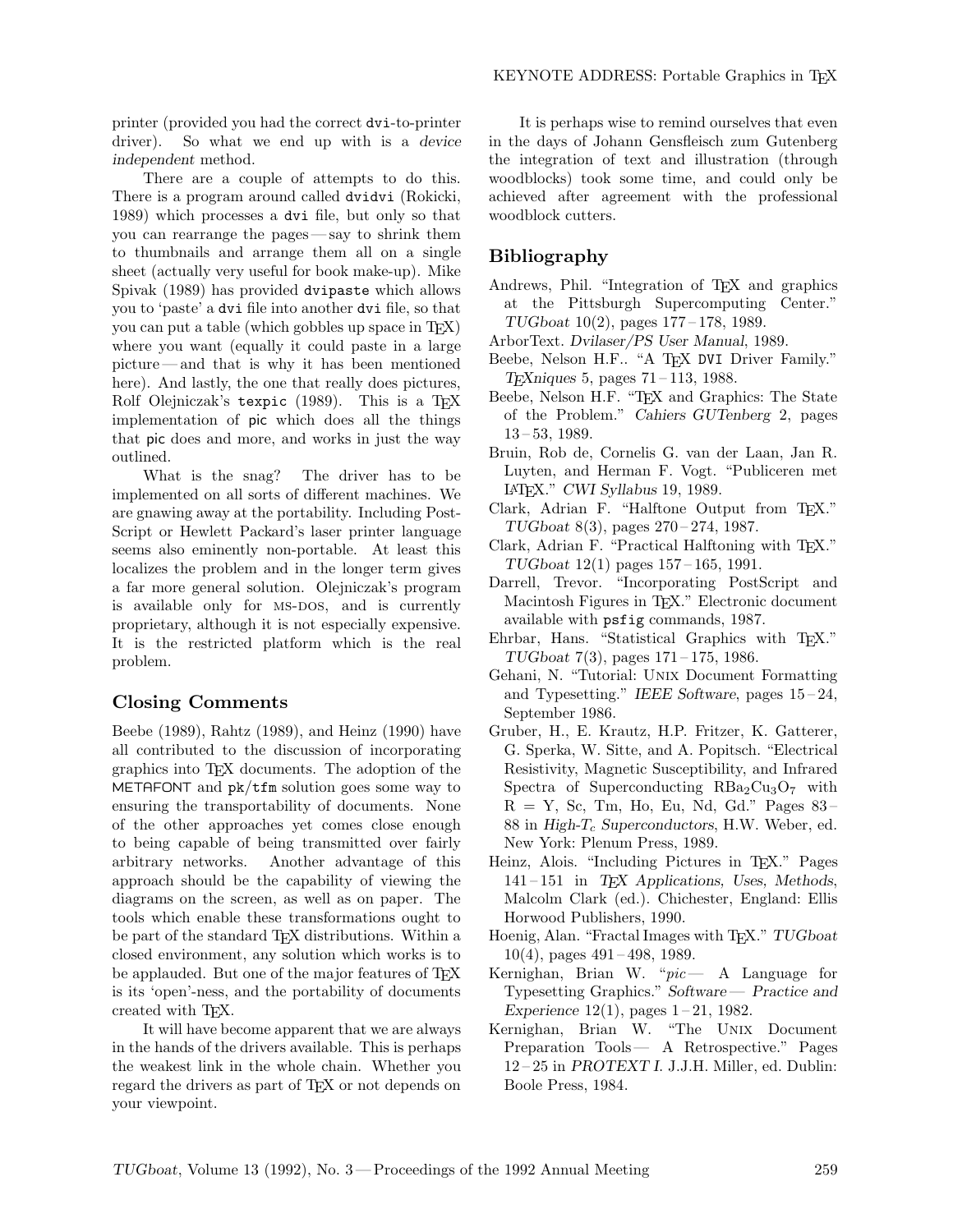printer (provided you had the correct dvi-to-printer driver). So what we end up with is a *device independent* method.

There are a couple of attempts to do this. There is a program around called dvidvi (Rokicki, 1989) which processes a dvi file, but only so that you can rearrange the pages—say to shrink them to thumbnails and arrange them all on a single sheet (actually very useful for book make-up). Mike Spivak(1989) has provided dvipaste which allows you to 'paste' a dvi file into another dvi file, so that you can put a table (which gobbles up space in TEX) where you want (equally it could paste in a large picture — and that is why it has been mentioned here). And lastly, the one that really does pictures, Rolf Olejniczak's texpic (1989). This is a TEX implementation of pic which does all the things that pic does and more, and works in just the way outlined.

What is the snag? The driver has to be implemented on all sorts of different machines. We are gnawing away at the portability. Including Post-Script or Hewlett Packard's laser printer language seems also eminently non-portable. At least this localizes the problem and in the longer term gives a far more general solution. Olejniczak's program is available only for MS-DOS, and is currently proprietary, although it is not especially expensive. It is the restricted platform which is the real problem.

**Closing Comments** Beebe (1989), Rahtz (1989), and Heinz (1990) have all contributed to the discussion of incorporating graphics into TEX documents. The adoption of the METAFONT and pk/tfm solution goes some way to ensuring the transportability of documents. None of the other approaches yet comes close enough to being capable of being transmitted over fairly arbitrary networks. Another advantage of this approach should be the capability of viewing the diagrams on the screen, as well as on paper. The tools which enable these transformations ought to be part of the standard TEX distributions. Within a closed environment, any solution which works is to be applauded. But one of the major features of T<sub>F</sub>X is its 'open'-ness, and the portability of documents created with TEX.

It will have become apparent that we are always in the hands of the drivers available. This is perhaps the weakest link in the whole chain. Whether you regard the drivers as part of TEX or not depends on your viewpoint.

It is perhaps wise to remind ourselves that even in the days of Johann Gensfleisch zum Gutenberg the integration of text and illustration (through woodblocks) took some time, and could only be achieved after agreement with the professional woodblock cutters.

# **Bibliography**

- Andrews, Phil. "Integration of TEX and graphics at the Pittsburgh Supercomputing Center." *TUGboat* 10(2), pages 177 – 178, 1989.
- ArborText. *Dvilaser/PS User Manual*, 1989.
- Beebe, Nelson H.F.. "A TEX DVI Driver Family." *TEXniques* 5, pages 71 – 113, 1988.
- Beebe, Nelson H.F. "T<sub>EX</sub> and Graphics: The State of the Problem." *Cahiers GUTenberg* 2, pages 13 – 53, 1989.
- Bruin, Rob de, Cornelis G. van der Laan, Jan R. Luyten, and Herman F. Vogt. "Publiceren met LATEX." *CWI Syllabus* 19, 1989.
- Clark, Adrian F. "Halftone Output from TEX." *TUGboat* 8(3), pages 270 – 274, 1987.
- Clark, Adrian F. "Practical Halftoning with T<sub>EX</sub>." *TUGboat* 12(1) pages 157 – 165, 1991.
- Darrell, Trevor. "Incorporating PostScript and Macintosh Figures in T<sub>E</sub>X." Electronic document available with psfig commands, 1987.
- Ehrbar, Hans. "Statistical Graphics with TEX." *TUGboat* 7(3), pages 171 – 175, 1986.
- Gehani, N. "Tutorial: Unix Document Formatting and Typesetting." *IEEE Software*, pages 15 – 24, September 1986.
- Gruber, H., E. Krautz, H.P. Fritzer, K. Gatterer, G. Sperka, W. Sitte, and A. Popitsch. "Electrical Resistivity, Magnetic Susceptibility, and Infrared Spectra of Superconducting  $RBa_2Cu_3O_7$  with  $R = Y$ , Sc, Tm, Ho, Eu, Nd, Gd." Pages 83-88 in *High-*T*<sup>c</sup> Superconductors*, H.W. Weber, ed. New York: Plenum Press, 1989.
- Heinz, Alois. "Including Pictures in T<sub>E</sub>X." Pages 141 – 151 in *TEX Applications, Uses, Methods*, Malcolm Clark(ed.). Chichester, England: Ellis Horwood Publishers, 1990.
- Hoenig, Alan. "Fractal Images with TEX." *TUGboat*  $10(4)$ , pages  $491 - 498$ , 1989.
- Kernighan, Brian W. "*pic* A Language for Typesetting Graphics." *Software— Practice and Experience* 12(1), pages 1-21, 1982.
- Kernighan, Brian W. "The Unix Document Preparation Tools— A Retrospective." Pages 12 – 25 in *PROTEXT I*. J.J.H. Miller, ed. Dublin: Boole Press, 1984.